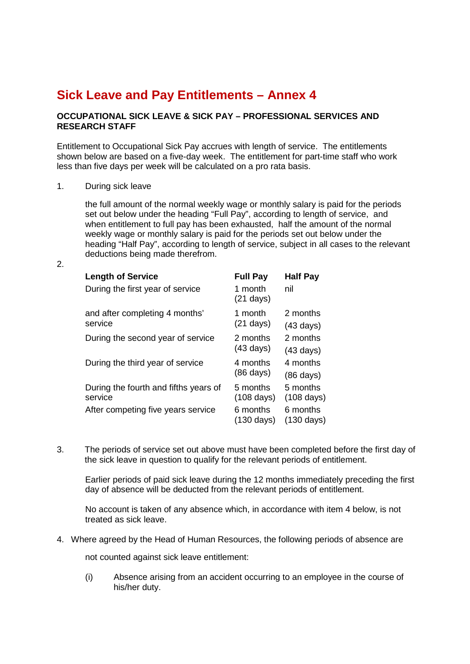## **Sick Leave and Pay Entitlements – Annex 4**

## **OCCUPATIONAL SICK LEAVE & SICK PAY – PROFESSIONAL SERVICES AND RESEARCH STAFF**

Entitlement to Occupational Sick Pay accrues with length of service. The entitlements shown below are based on a five-day week. The entitlement for part-time staff who work less than five days per week will be calculated on a pro rata basis.

1. During sick leave

the full amount of the normal weekly wage or monthly salary is paid for the periods set out below under the heading "Full Pay", according to length of service, and when entitlement to full pay has been exhausted, half the amount of the normal weekly wage or monthly salary is paid for the periods set out below under the heading "Half Pay", according to length of service, subject in all cases to the relevant deductions being made therefrom.

2.

| <b>Full Pay</b><br>1 month<br>$(21 \text{ days})$ | <b>Half Pay</b><br>nil |
|---------------------------------------------------|------------------------|
| 1 month                                           | 2 months               |
| $(21 \text{ days})$                               | $(43 \text{ days})$    |
| 2 months                                          | 2 months               |
| $(43 \text{ days})$                               | $(43 \text{ days})$    |
| 4 months                                          | 4 months               |
| $(86 \text{ days})$                               | $(86 \text{ days})$    |
| 5 months                                          | 5 months               |
| $(108 \text{ days})$                              | $(108 \text{ days})$   |
| 6 months                                          | 6 months               |
| $(130 \text{ days})$                              | $(130 \text{ days})$   |
|                                                   |                        |

3. The periods of service set out above must have been completed before the first day of the sick leave in question to qualify for the relevant periods of entitlement.

Earlier periods of paid sick leave during the 12 months immediately preceding the first day of absence will be deducted from the relevant periods of entitlement.

No account is taken of any absence which, in accordance with item 4 below, is not treated as sick leave.

4. Where agreed by the Head of Human Resources, the following periods of absence are

not counted against sick leave entitlement:

(i) Absence arising from an accident occurring to an employee in the course of his/her duty.